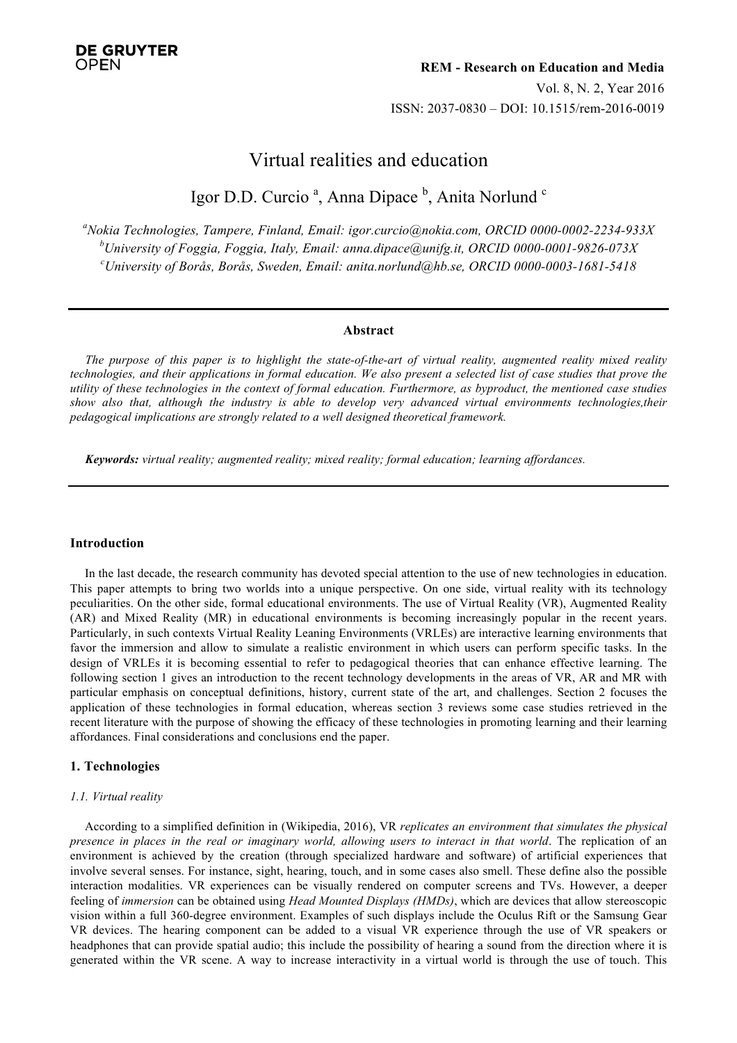Vol. 8, N. 2, Year 2016 ISSN: 2037-0830 – DOI: 10.1515/rem-2016-0019

# Virtual realities and education

Igor D.D. Curcio<sup>a</sup>, Anna Dipace<sup>b</sup>, Anita Norlund<sup>e</sup>

*a Nokia Technologies, Tampere, Finland, Email: igor.curcio@nokia.com, ORCID 0000-0002-2234-933X b University of Foggia, Foggia, Italy, Email: anna.dipace@unifg.it, ORCID 0000-0001-9826-073X c University of Borås, Borås, Sweden, Email: anita.norlund@hb.se, ORCID 0000-0003-1681-5418*

# **Abstract**

*The purpose of this paper is to highlight the state-of-the-art of virtual reality, augmented reality mixed reality technologies, and their applications in formal education. We also present a selected list of case studies that prove the utility of these technologies in the context of formal education. Furthermore, as byproduct, the mentioned case studies show also that, although the industry is able to develop very advanced virtual environments technologies,their pedagogical implications are strongly related to a well designed theoretical framework.*

*Keywords: virtual reality; augmented reality; mixed reality; formal education; learning affordances.* 

# **Introduction**

In the last decade, the research community has devoted special attention to the use of new technologies in education. This paper attempts to bring two worlds into a unique perspective. On one side, virtual reality with its technology peculiarities. On the other side, formal educational environments. The use of Virtual Reality (VR), Augmented Reality (AR) and Mixed Reality (MR) in educational environments is becoming increasingly popular in the recent years. Particularly, in such contexts Virtual Reality Leaning Environments (VRLEs) are interactive learning environments that favor the immersion and allow to simulate a realistic environment in which users can perform specific tasks. In the design of VRLEs it is becoming essential to refer to pedagogical theories that can enhance effective learning. The following section 1 gives an introduction to the recent technology developments in the areas of VR, AR and MR with particular emphasis on conceptual definitions, history, current state of the art, and challenges. Section 2 focuses the application of these technologies in formal education, whereas section 3 reviews some case studies retrieved in the recent literature with the purpose of showing the efficacy of these technologies in promoting learning and their learning affordances. Final considerations and conclusions end the paper.

# **1. Technologies**

# *1.1. Virtual reality*

According to a simplified definition in (Wikipedia, 2016), VR *replicates an environment that simulates the physical presence in places in the real or imaginary world, allowing users to interact in that world*. The replication of an environment is achieved by the creation (through specialized hardware and software) of artificial experiences that involve several senses. For instance, sight, hearing, touch, and in some cases also smell. These define also the possible interaction modalities. VR experiences can be visually rendered on computer screens and TVs. However, a deeper feeling of *immersion* can be obtained using *Head Mounted Displays (HMDs)*, which are devices that allow stereoscopic vision within a full 360-degree environment. Examples of such displays include the Oculus Rift or the Samsung Gear VR devices. The hearing component can be added to a visual VR experience through the use of VR speakers or headphones that can provide spatial audio; this include the possibility of hearing a sound from the direction where it is generated within the VR scene. A way to increase interactivity in a virtual world is through the use of touch. This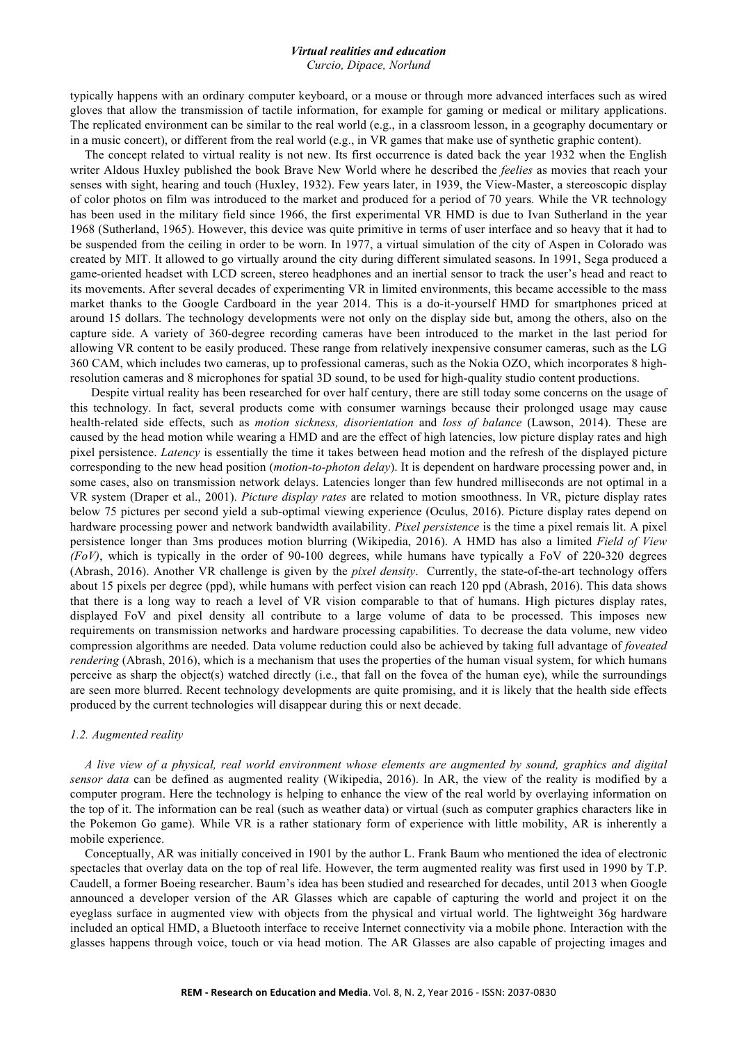*Curcio, Dipace, Norlund*

typically happens with an ordinary computer keyboard, or a mouse or through more advanced interfaces such as wired gloves that allow the transmission of tactile information, for example for gaming or medical or military applications. The replicated environment can be similar to the real world (e.g., in a classroom lesson, in a geography documentary or in a music concert), or different from the real world (e.g., in VR games that make use of synthetic graphic content).

The concept related to virtual reality is not new. Its first occurrence is dated back the year 1932 when the English writer Aldous Huxley published the book Brave New World where he described the *feelies* as movies that reach your senses with sight, hearing and touch (Huxley, 1932). Few years later, in 1939, the View-Master, a stereoscopic display of color photos on film was introduced to the market and produced for a period of 70 years. While the VR technology has been used in the military field since 1966, the first experimental VR HMD is due to Ivan Sutherland in the year 1968 (Sutherland, 1965). However, this device was quite primitive in terms of user interface and so heavy that it had to be suspended from the ceiling in order to be worn. In 1977, a virtual simulation of the city of Aspen in Colorado was created by MIT. It allowed to go virtually around the city during different simulated seasons. In 1991, Sega produced a game-oriented headset with LCD screen, stereo headphones and an inertial sensor to track the user's head and react to its movements. After several decades of experimenting VR in limited environments, this became accessible to the mass market thanks to the Google Cardboard in the year 2014. This is a do-it-yourself HMD for smartphones priced at around 15 dollars. The technology developments were not only on the display side but, among the others, also on the capture side. A variety of 360-degree recording cameras have been introduced to the market in the last period for allowing VR content to be easily produced. These range from relatively inexpensive consumer cameras, such as the LG 360 CAM, which includes two cameras, up to professional cameras, such as the Nokia OZO, which incorporates 8 highresolution cameras and 8 microphones for spatial 3D sound, to be used for high-quality studio content productions.

Despite virtual reality has been researched for over half century, there are still today some concerns on the usage of this technology. In fact, several products come with consumer warnings because their prolonged usage may cause health-related side effects, such as *motion sickness, disorientation* and *loss of balance* (Lawson, 2014). These are caused by the head motion while wearing a HMD and are the effect of high latencies, low picture display rates and high pixel persistence. *Latency* is essentially the time it takes between head motion and the refresh of the displayed picture corresponding to the new head position (*motion-to-photon delay*). It is dependent on hardware processing power and, in some cases, also on transmission network delays. Latencies longer than few hundred milliseconds are not optimal in a VR system (Draper et al., 2001). *Picture display rates* are related to motion smoothness. In VR, picture display rates below 75 pictures per second yield a sub-optimal viewing experience (Oculus, 2016). Picture display rates depend on hardware processing power and network bandwidth availability. *Pixel persistence* is the time a pixel remais lit. A pixel persistence longer than 3ms produces motion blurring (Wikipedia, 2016). A HMD has also a limited *Field of View (FoV)*, which is typically in the order of 90-100 degrees, while humans have typically a FoV of 220-320 degrees (Abrash, 2016). Another VR challenge is given by the *pixel density*. Currently, the state-of-the-art technology offers about 15 pixels per degree (ppd), while humans with perfect vision can reach 120 ppd (Abrash, 2016). This data shows that there is a long way to reach a level of VR vision comparable to that of humans. High pictures display rates, displayed FoV and pixel density all contribute to a large volume of data to be processed. This imposes new requirements on transmission networks and hardware processing capabilities. To decrease the data volume, new video compression algorithms are needed. Data volume reduction could also be achieved by taking full advantage of *foveated rendering* (Abrash, 2016), which is a mechanism that uses the properties of the human visual system, for which humans perceive as sharp the object(s) watched directly (i.e., that fall on the fovea of the human eye), while the surroundings are seen more blurred. Recent technology developments are quite promising, and it is likely that the health side effects produced by the current technologies will disappear during this or next decade.

#### *1.2. Augmented reality*

*A live view of a physical, real world environment whose elements are augmented by sound, graphics and digital sensor data* can be defined as augmented reality (Wikipedia, 2016). In AR, the view of the reality is modified by a computer program. Here the technology is helping to enhance the view of the real world by overlaying information on the top of it. The information can be real (such as weather data) or virtual (such as computer graphics characters like in the Pokemon Go game). While VR is a rather stationary form of experience with little mobility, AR is inherently a mobile experience.

Conceptually, AR was initially conceived in 1901 by the author L. Frank Baum who mentioned the idea of electronic spectacles that overlay data on the top of real life. However, the term augmented reality was first used in 1990 by T.P. Caudell, a former Boeing researcher. Baum's idea has been studied and researched for decades, until 2013 when Google announced a developer version of the AR Glasses which are capable of capturing the world and project it on the eyeglass surface in augmented view with objects from the physical and virtual world. The lightweight 36g hardware included an optical HMD, a Bluetooth interface to receive Internet connectivity via a mobile phone. Interaction with the glasses happens through voice, touch or via head motion. The AR Glasses are also capable of projecting images and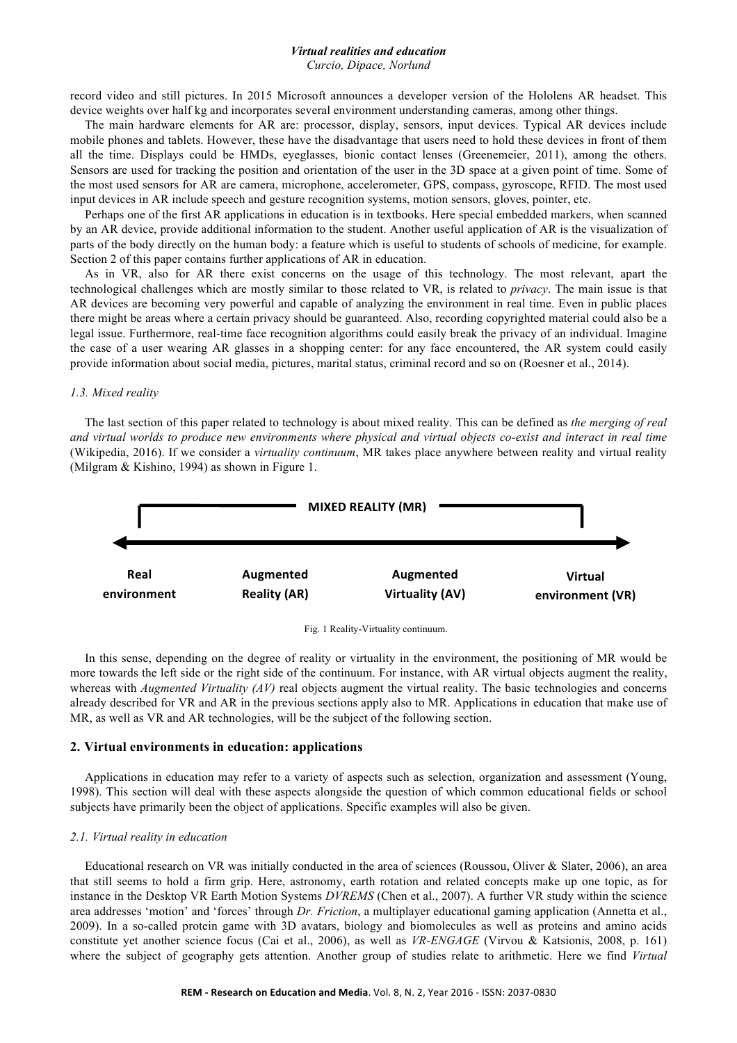*Curcio, Dipace, Norlund*

record video and still pictures. In 2015 Microsoft announces a developer version of the Hololens AR headset. This device weights over half kg and incorporates several environment understanding cameras, among other things.

The main hardware elements for AR are: processor, display, sensors, input devices. Typical AR devices include mobile phones and tablets. However, these have the disadvantage that users need to hold these devices in front of them all the time. Displays could be HMDs, eyeglasses, bionic contact lenses (Greenemeier, 2011), among the others. Sensors are used for tracking the position and orientation of the user in the 3D space at a given point of time. Some of the most used sensors for AR are camera, microphone, accelerometer, GPS, compass, gyroscope, RFID. The most used input devices in AR include speech and gesture recognition systems, motion sensors, gloves, pointer, etc.

Perhaps one of the first AR applications in education is in textbooks. Here special embedded markers, when scanned by an AR device, provide additional information to the student. Another useful application of AR is the visualization of parts of the body directly on the human body: a feature which is useful to students of schools of medicine, for example. Section 2 of this paper contains further applications of AR in education.

As in VR, also for AR there exist concerns on the usage of this technology. The most relevant, apart the technological challenges which are mostly similar to those related to VR, is related to *privacy*. The main issue is that AR devices are becoming very powerful and capable of analyzing the environment in real time. Even in public places there might be areas where a certain privacy should be guaranteed. Also, recording copyrighted material could also be a legal issue. Furthermore, real-time face recognition algorithms could easily break the privacy of an individual. Imagine the case of a user wearing AR glasses in a shopping center: for any face encountered, the AR system could easily provide information about social media, pictures, marital status, criminal record and so on (Roesner et al., 2014).

#### *1.3. Mixed reality*

The last section of this paper related to technology is about mixed reality. This can be defined as *the merging of real and virtual worlds to produce new environments where physical and virtual objects co-exist and interact in real time* (Wikipedia, 2016). If we consider a *virtuality continuum*, MR takes place anywhere between reality and virtual reality (Milgram & Kishino, 1994) as shown in Figure 1.





In this sense, depending on the degree of reality or virtuality in the environment, the positioning of MR would be more towards the left side or the right side of the continuum. For instance, with AR virtual objects augment the reality, whereas with *Augmented Virtuality (AV)* real objects augment the virtual reality. The basic technologies and concerns already described for VR and AR in the previous sections apply also to MR. Applications in education that make use of MR, as well as VR and AR technologies, will be the subject of the following section.

#### **2. Virtual environments in education: applications**

Applications in education may refer to a variety of aspects such as selection, organization and assessment (Young, 1998). This section will deal with these aspects alongside the question of which common educational fields or school subjects have primarily been the object of applications. Specific examples will also be given.

#### *2.1. Virtual reality in education*

Educational research on VR was initially conducted in the area of sciences (Roussou, Oliver & Slater, 2006), an area that still seems to hold a firm grip. Here, astronomy, earth rotation and related concepts make up one topic, as for instance in the Desktop VR Earth Motion Systems *DVREMS* (Chen et al., 2007). A further VR study within the science area addresses 'motion' and 'forces' through *Dr. Friction*, a multiplayer educational gaming application (Annetta et al., 2009). In a so-called protein game with 3D avatars, biology and biomolecules as well as proteins and amino acids constitute yet another science focus (Cai et al., 2006), as well as *VR-ENGAGE* (Virvou & Katsionis, 2008, p. 161) where the subject of geography gets attention. Another group of studies relate to arithmetic. Here we find *Virtual*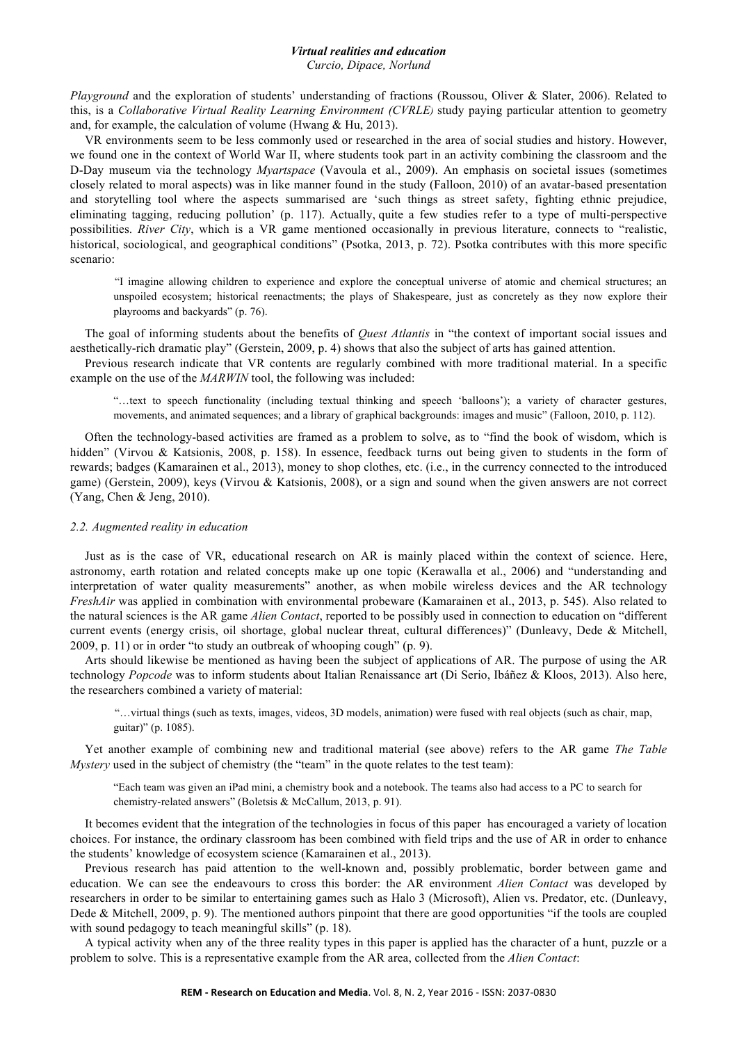*Curcio, Dipace, Norlund*

*Playground* and the exploration of students' understanding of fractions (Roussou, Oliver & Slater, 2006). Related to this, is a *Collaborative Virtual Reality Learning Environment (CVRLE)* study paying particular attention to geometry and, for example, the calculation of volume (Hwang & Hu, 2013).

VR environments seem to be less commonly used or researched in the area of social studies and history. However, we found one in the context of World War II, where students took part in an activity combining the classroom and the D-Day museum via the technology *Myartspace* (Vavoula et al., 2009). An emphasis on societal issues (sometimes closely related to moral aspects) was in like manner found in the study (Falloon, 2010) of an avatar-based presentation and storytelling tool where the aspects summarised are 'such things as street safety, fighting ethnic prejudice, eliminating tagging, reducing pollution' (p. 117). Actually, quite a few studies refer to a type of multi-perspective possibilities. *River City*, which is a VR game mentioned occasionally in previous literature, connects to "realistic, historical, sociological, and geographical conditions" (Psotka, 2013, p. 72). Psotka contributes with this more specific scenario:

"I imagine allowing children to experience and explore the conceptual universe of atomic and chemical structures; an unspoiled ecosystem; historical reenactments; the plays of Shakespeare, just as concretely as they now explore their playrooms and backyards" (p. 76).

The goal of informing students about the benefits of *Quest Atlantis* in "the context of important social issues and aesthetically-rich dramatic play" (Gerstein, 2009, p. 4) shows that also the subject of arts has gained attention.

Previous research indicate that VR contents are regularly combined with more traditional material. In a specific example on the use of the *MARWIN* tool, the following was included:

"…text to speech functionality (including textual thinking and speech 'balloons'); a variety of character gestures, movements, and animated sequences; and a library of graphical backgrounds: images and music" (Falloon, 2010, p. 112).

Often the technology-based activities are framed as a problem to solve, as to "find the book of wisdom, which is hidden" (Virvou & Katsionis, 2008, p. 158). In essence, feedback turns out being given to students in the form of rewards; badges (Kamarainen et al., 2013), money to shop clothes, etc. (i.e., in the currency connected to the introduced game) (Gerstein, 2009), keys (Virvou & Katsionis, 2008), or a sign and sound when the given answers are not correct (Yang, Chen & Jeng, 2010).

# *2.2. Augmented reality in education*

Just as is the case of VR, educational research on AR is mainly placed within the context of science. Here, astronomy, earth rotation and related concepts make up one topic (Kerawalla et al., 2006) and "understanding and interpretation of water quality measurements" another, as when mobile wireless devices and the AR technology *FreshAir* was applied in combination with environmental probeware (Kamarainen et al., 2013, p. 545). Also related to the natural sciences is the AR game *Alien Contact*, reported to be possibly used in connection to education on "different current events (energy crisis, oil shortage, global nuclear threat, cultural differences)" (Dunleavy, Dede & Mitchell, 2009, p. 11) or in order "to study an outbreak of whooping cough" (p. 9).

Arts should likewise be mentioned as having been the subject of applications of AR. The purpose of using the AR technology *Popcode* was to inform students about Italian Renaissance art (Di Serio, Ibáñez & Kloos, 2013). Also here, the researchers combined a variety of material:

"…virtual things (such as texts, images, videos, 3D models, animation) were fused with real objects (such as chair, map, guitar)" (p. 1085).

Yet another example of combining new and traditional material (see above) refers to the AR game *The Table Mystery* used in the subject of chemistry (the "team" in the quote relates to the test team):

"Each team was given an iPad mini, a chemistry book and a notebook. The teams also had access to a PC to search for chemistry-related answers" (Boletsis & McCallum, 2013, p. 91).

It becomes evident that the integration of the technologies in focus of this paper has encouraged a variety of location choices. For instance, the ordinary classroom has been combined with field trips and the use of AR in order to enhance the students' knowledge of ecosystem science (Kamarainen et al., 2013).

Previous research has paid attention to the well-known and, possibly problematic, border between game and education. We can see the endeavours to cross this border: the AR environment *Alien Contact* was developed by researchers in order to be similar to entertaining games such as Halo 3 (Microsoft), Alien vs. Predator, etc. (Dunleavy, Dede & Mitchell, 2009, p. 9). The mentioned authors pinpoint that there are good opportunities "if the tools are coupled with sound pedagogy to teach meaningful skills" (p. 18).

A typical activity when any of the three reality types in this paper is applied has the character of a hunt, puzzle or a problem to solve. This is a representative example from the AR area, collected from the *Alien Contact*: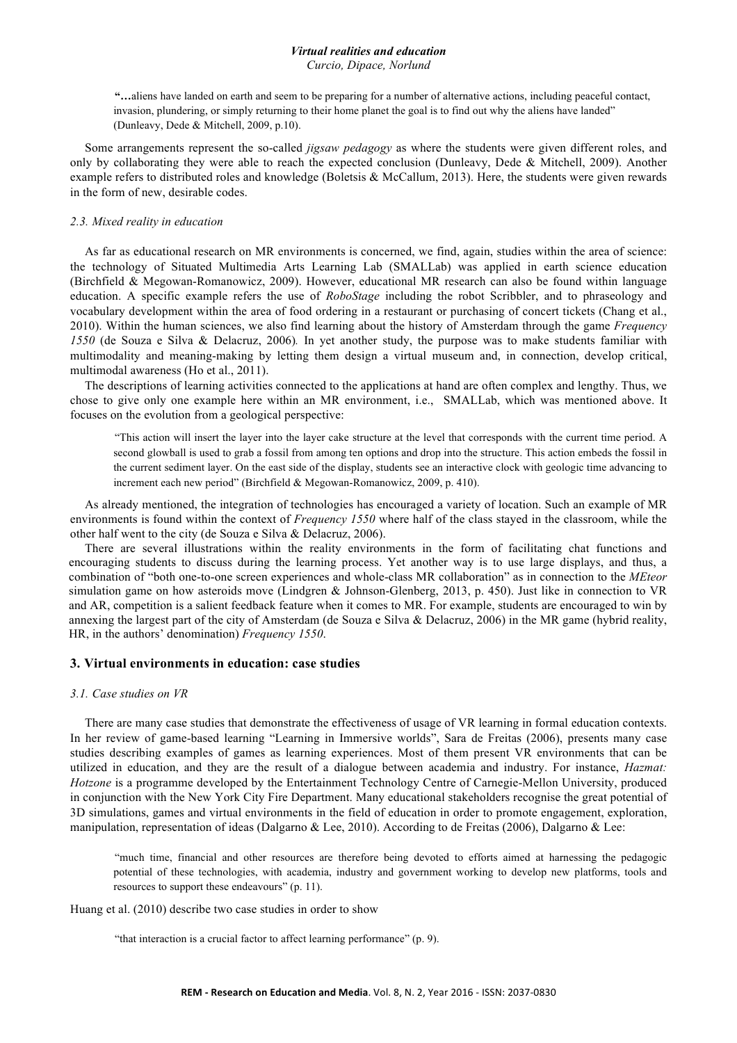*Curcio, Dipace, Norlund*

**"…**aliens have landed on earth and seem to be preparing for a number of alternative actions, including peaceful contact, invasion, plundering, or simply returning to their home planet the goal is to find out why the aliens have landed" (Dunleavy, Dede & Mitchell, 2009, p.10).

Some arrangements represent the so-called *jigsaw pedagogy* as where the students were given different roles, and only by collaborating they were able to reach the expected conclusion (Dunleavy, Dede & Mitchell, 2009). Another example refers to distributed roles and knowledge (Boletsis & McCallum, 2013). Here, the students were given rewards in the form of new, desirable codes.

# *2.3. Mixed reality in education*

As far as educational research on MR environments is concerned, we find, again, studies within the area of science: the technology of Situated Multimedia Arts Learning Lab (SMALLab) was applied in earth science education (Birchfield & Megowan-Romanowicz, 2009). However, educational MR research can also be found within language education. A specific example refers the use of *RoboStage* including the robot Scribbler, and to phraseology and vocabulary development within the area of food ordering in a restaurant or purchasing of concert tickets (Chang et al., 2010). Within the human sciences, we also find learning about the history of Amsterdam through the game *Frequency 1550* (de Souza e Silva & Delacruz, 2006)*.* In yet another study, the purpose was to make students familiar with multimodality and meaning-making by letting them design a virtual museum and, in connection, develop critical, multimodal awareness (Ho et al., 2011).

The descriptions of learning activities connected to the applications at hand are often complex and lengthy. Thus, we chose to give only one example here within an MR environment, i.e., SMALLab, which was mentioned above. It focuses on the evolution from a geological perspective:

"This action will insert the layer into the layer cake structure at the level that corresponds with the current time period. A second glowball is used to grab a fossil from among ten options and drop into the structure. This action embeds the fossil in the current sediment layer. On the east side of the display, students see an interactive clock with geologic time advancing to increment each new period" (Birchfield & Megowan-Romanowicz, 2009, p. 410).

As already mentioned, the integration of technologies has encouraged a variety of location. Such an example of MR environments is found within the context of *Frequency 1550* where half of the class stayed in the classroom, while the other half went to the city (de Souza e Silva & Delacruz, 2006).

There are several illustrations within the reality environments in the form of facilitating chat functions and encouraging students to discuss during the learning process. Yet another way is to use large displays, and thus, a combination of "both one-to-one screen experiences and whole-class MR collaboration" as in connection to the *MEteor*  simulation game on how asteroids move (Lindgren & Johnson-Glenberg, 2013, p. 450). Just like in connection to VR and AR, competition is a salient feedback feature when it comes to MR. For example, students are encouraged to win by annexing the largest part of the city of Amsterdam (de Souza e Silva & Delacruz, 2006) in the MR game (hybrid reality, HR, in the authors' denomination) *Frequency 1550*.

# **3. Virtual environments in education: case studies**

#### *3.1. Case studies on VR*

There are many case studies that demonstrate the effectiveness of usage of VR learning in formal education contexts. In her review of game-based learning "Learning in Immersive worlds", Sara de Freitas (2006), presents many case studies describing examples of games as learning experiences. Most of them present VR environments that can be utilized in education, and they are the result of a dialogue between academia and industry. For instance, *Hazmat: Hotzone* is a programme developed by the Entertainment Technology Centre of Carnegie-Mellon University, produced in conjunction with the New York City Fire Department. Many educational stakeholders recognise the great potential of 3D simulations, games and virtual environments in the field of education in order to promote engagement, exploration, manipulation, representation of ideas (Dalgarno & Lee, 2010). According to de Freitas (2006), Dalgarno & Lee:

"much time, financial and other resources are therefore being devoted to efforts aimed at harnessing the pedagogic potential of these technologies, with academia, industry and government working to develop new platforms, tools and resources to support these endeavours" (p. 11).

Huang et al. (2010) describe two case studies in order to show

"that interaction is a crucial factor to affect learning performance" (p. 9).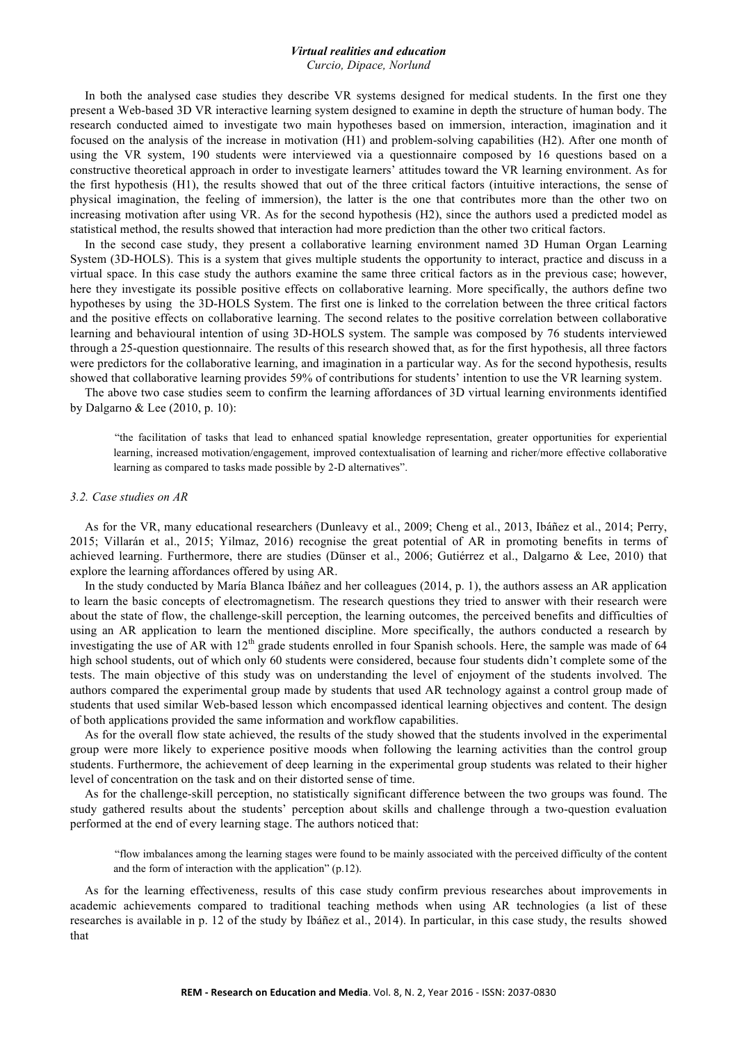*Curcio, Dipace, Norlund*

In both the analysed case studies they describe VR systems designed for medical students. In the first one they present a Web-based 3D VR interactive learning system designed to examine in depth the structure of human body. The research conducted aimed to investigate two main hypotheses based on immersion, interaction, imagination and it focused on the analysis of the increase in motivation (H1) and problem-solving capabilities (H2). After one month of using the VR system, 190 students were interviewed via a questionnaire composed by 16 questions based on a constructive theoretical approach in order to investigate learners' attitudes toward the VR learning environment. As for the first hypothesis (H1), the results showed that out of the three critical factors (intuitive interactions, the sense of physical imagination, the feeling of immersion), the latter is the one that contributes more than the other two on increasing motivation after using VR. As for the second hypothesis (H2), since the authors used a predicted model as statistical method, the results showed that interaction had more prediction than the other two critical factors.

In the second case study, they present a collaborative learning environment named 3D Human Organ Learning System (3D-HOLS). This is a system that gives multiple students the opportunity to interact, practice and discuss in a virtual space. In this case study the authors examine the same three critical factors as in the previous case; however, here they investigate its possible positive effects on collaborative learning. More specifically, the authors define two hypotheses by using the 3D-HOLS System. The first one is linked to the correlation between the three critical factors and the positive effects on collaborative learning. The second relates to the positive correlation between collaborative learning and behavioural intention of using 3D-HOLS system. The sample was composed by 76 students interviewed through a 25-question questionnaire. The results of this research showed that, as for the first hypothesis, all three factors were predictors for the collaborative learning, and imagination in a particular way. As for the second hypothesis, results showed that collaborative learning provides 59% of contributions for students' intention to use the VR learning system.

The above two case studies seem to confirm the learning affordances of 3D virtual learning environments identified by Dalgarno & Lee (2010, p. 10):

"the facilitation of tasks that lead to enhanced spatial knowledge representation, greater opportunities for experiential learning, increased motivation/engagement, improved contextualisation of learning and richer/more effective collaborative learning as compared to tasks made possible by 2-D alternatives".

## *3.2. Case studies on AR*

As for the VR, many educational researchers (Dunleavy et al., 2009; Cheng et al., 2013, Ibáñez et al., 2014; Perry, 2015; Villarán et al., 2015; Yilmaz, 2016) recognise the great potential of AR in promoting benefits in terms of achieved learning. Furthermore, there are studies (Dünser et al., 2006; Gutiérrez et al., Dalgarno & Lee, 2010) that explore the learning affordances offered by using AR.

In the study conducted by María Blanca Ibáñez and her colleagues (2014, p. 1), the authors assess an AR application to learn the basic concepts of electromagnetism. The research questions they tried to answer with their research were about the state of flow, the challenge-skill perception, the learning outcomes, the perceived benefits and difficulties of using an AR application to learn the mentioned discipline. More specifically, the authors conducted a research by investigating the use of AR with 12<sup>th</sup> grade students enrolled in four Spanish schools. Here, the sample was made of 64 high school students, out of which only 60 students were considered, because four students didn't complete some of the tests. The main objective of this study was on understanding the level of enjoyment of the students involved. The authors compared the experimental group made by students that used AR technology against a control group made of students that used similar Web-based lesson which encompassed identical learning objectives and content. The design of both applications provided the same information and workflow capabilities.

As for the overall flow state achieved, the results of the study showed that the students involved in the experimental group were more likely to experience positive moods when following the learning activities than the control group students. Furthermore, the achievement of deep learning in the experimental group students was related to their higher level of concentration on the task and on their distorted sense of time.

As for the challenge-skill perception, no statistically significant difference between the two groups was found. The study gathered results about the students' perception about skills and challenge through a two-question evaluation performed at the end of every learning stage. The authors noticed that:

"flow imbalances among the learning stages were found to be mainly associated with the perceived difficulty of the content and the form of interaction with the application" (p.12).

As for the learning effectiveness, results of this case study confirm previous researches about improvements in academic achievements compared to traditional teaching methods when using AR technologies (a list of these researches is available in p. 12 of the study by Ibáñez et al., 2014). In particular, in this case study, the results showed that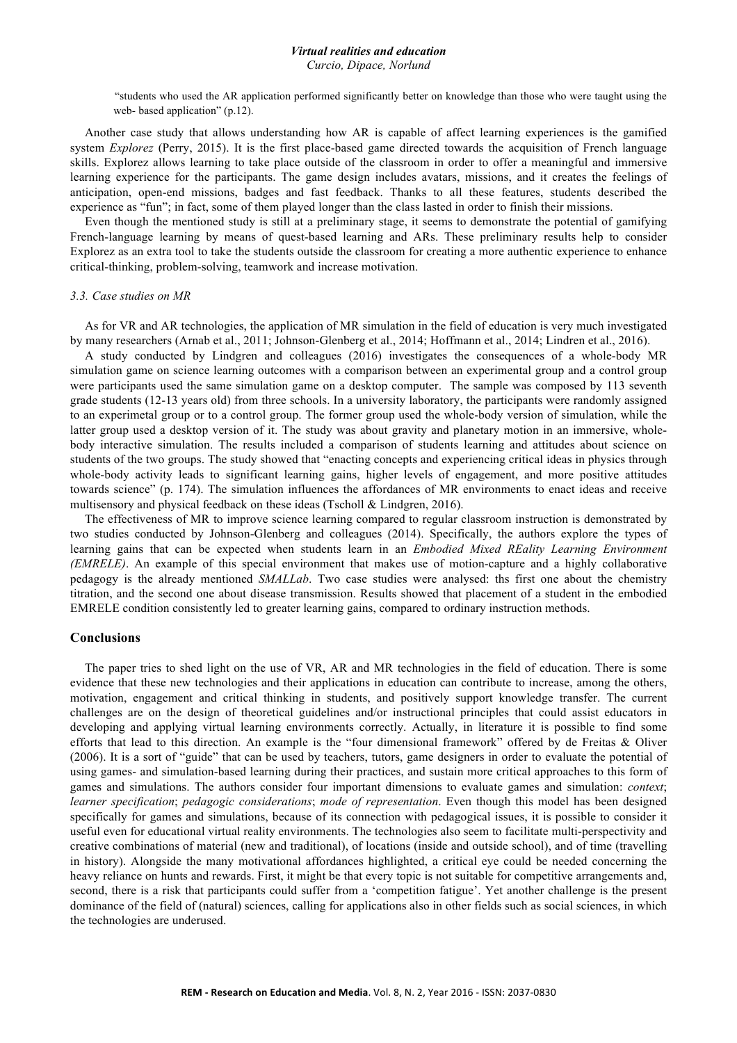*Curcio, Dipace, Norlund*

"students who used the AR application performed significantly better on knowledge than those who were taught using the web- based application" (p.12).

Another case study that allows understanding how AR is capable of affect learning experiences is the gamified system *Explorez* (Perry, 2015). It is the first place-based game directed towards the acquisition of French language skills. Explorez allows learning to take place outside of the classroom in order to offer a meaningful and immersive learning experience for the participants. The game design includes avatars, missions, and it creates the feelings of anticipation, open-end missions, badges and fast feedback. Thanks to all these features, students described the experience as "fun"; in fact, some of them played longer than the class lasted in order to finish their missions.

Even though the mentioned study is still at a preliminary stage, it seems to demonstrate the potential of gamifying French-language learning by means of quest-based learning and ARs. These preliminary results help to consider Explorez as an extra tool to take the students outside the classroom for creating a more authentic experience to enhance critical-thinking, problem-solving, teamwork and increase motivation.

### *3.3. Case studies on MR*

As for VR and AR technologies, the application of MR simulation in the field of education is very much investigated by many researchers (Arnab et al., 2011; Johnson-Glenberg et al., 2014; Hoffmann et al., 2014; Lindren et al., 2016).

A study conducted by Lindgren and colleagues (2016) investigates the consequences of a whole-body MR simulation game on science learning outcomes with a comparison between an experimental group and a control group were participants used the same simulation game on a desktop computer. The sample was composed by 113 seventh grade students (12-13 years old) from three schools. In a university laboratory, the participants were randomly assigned to an experimetal group or to a control group. The former group used the whole-body version of simulation, while the latter group used a desktop version of it. The study was about gravity and planetary motion in an immersive, wholebody interactive simulation. The results included a comparison of students learning and attitudes about science on students of the two groups. The study showed that "enacting concepts and experiencing critical ideas in physics through whole-body activity leads to significant learning gains, higher levels of engagement, and more positive attitudes towards science" (p. 174). The simulation influences the affordances of MR environments to enact ideas and receive multisensory and physical feedback on these ideas (Tscholl & Lindgren, 2016).

The effectiveness of MR to improve science learning compared to regular classroom instruction is demonstrated by two studies conducted by Johnson-Glenberg and colleagues (2014). Specifically, the authors explore the types of learning gains that can be expected when students learn in an *Embodied Mixed REality Learning Environment (EMRELE)*. An example of this special environment that makes use of motion-capture and a highly collaborative pedagogy is the already mentioned *SMALLab*. Two case studies were analysed: ths first one about the chemistry titration, and the second one about disease transmission. Results showed that placement of a student in the embodied EMRELE condition consistently led to greater learning gains, compared to ordinary instruction methods.

# **Conclusions**

The paper tries to shed light on the use of VR, AR and MR technologies in the field of education. There is some evidence that these new technologies and their applications in education can contribute to increase, among the others, motivation, engagement and critical thinking in students, and positively support knowledge transfer. The current challenges are on the design of theoretical guidelines and/or instructional principles that could assist educators in developing and applying virtual learning environments correctly. Actually, in literature it is possible to find some efforts that lead to this direction. An example is the "four dimensional framework" offered by de Freitas & Oliver (2006). It is a sort of "guide" that can be used by teachers, tutors, game designers in order to evaluate the potential of using games- and simulation-based learning during their practices, and sustain more critical approaches to this form of games and simulations. The authors consider four important dimensions to evaluate games and simulation: *context*; *learner specification*; *pedagogic considerations*; *mode of representation*. Even though this model has been designed specifically for games and simulations, because of its connection with pedagogical issues, it is possible to consider it useful even for educational virtual reality environments. The technologies also seem to facilitate multi-perspectivity and creative combinations of material (new and traditional), of locations (inside and outside school), and of time (travelling in history). Alongside the many motivational affordances highlighted, a critical eye could be needed concerning the heavy reliance on hunts and rewards. First, it might be that every topic is not suitable for competitive arrangements and, second, there is a risk that participants could suffer from a 'competition fatigue'. Yet another challenge is the present dominance of the field of (natural) sciences, calling for applications also in other fields such as social sciences, in which the technologies are underused.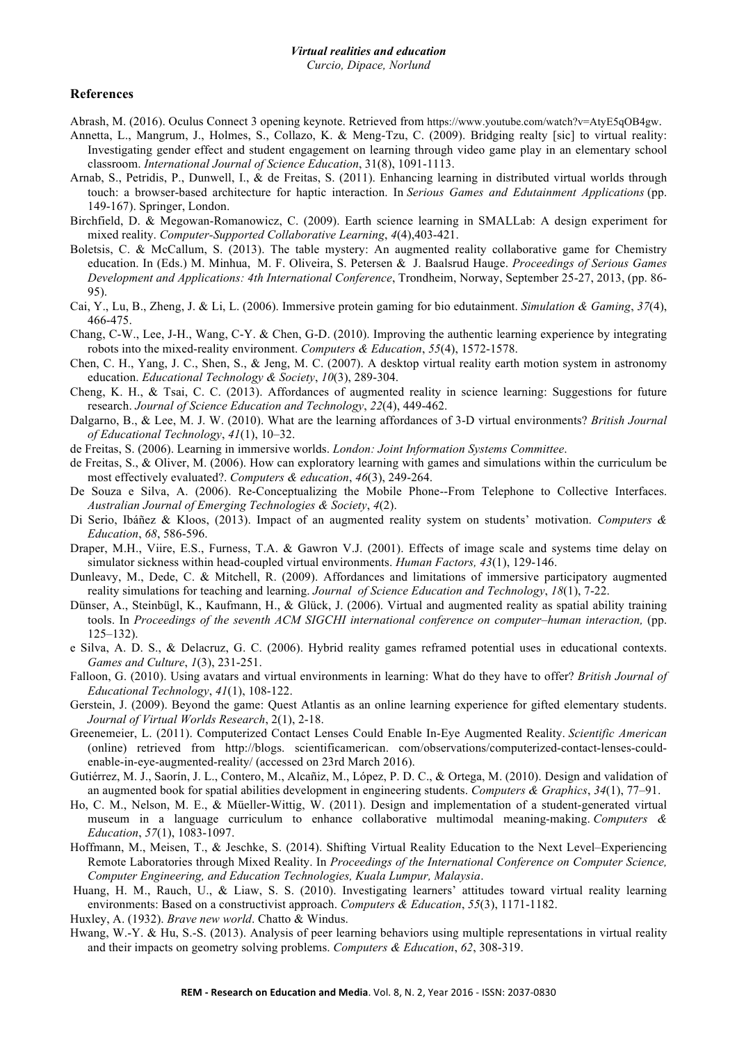*Curcio, Dipace, Norlund*

# **References**

Abrash, M. (2016). Oculus Connect 3 opening keynote. Retrieved from https://www.youtube.com/watch?v=AtyE5qOB4gw.

- Annetta, L., Mangrum, J., Holmes, S., Collazo, K. & Meng-Tzu, C. (2009). Bridging realty [sic] to virtual reality: Investigating gender effect and student engagement on learning through video game play in an elementary school classroom. *International Journal of Science Education*, 31(8), 1091-1113.
- Arnab, S., Petridis, P., Dunwell, I., & de Freitas, S. (2011). Enhancing learning in distributed virtual worlds through touch: a browser-based architecture for haptic interaction. In *Serious Games and Edutainment Applications* (pp. 149-167). Springer, London.
- Birchfield, D. & Megowan-Romanowicz, C. (2009). Earth science learning in SMALLab: A design experiment for mixed reality. *Computer-Supported Collaborative Learning*, *4*(4),403-421.
- Boletsis, C. & McCallum, S. (2013). The table mystery: An augmented reality collaborative game for Chemistry education. In (Eds.) M. Minhua, M. F. Oliveira, S. Petersen & J. Baalsrud Hauge. *Proceedings of Serious Games Development and Applications: 4th International Conference*, Trondheim, Norway, September 25-27, 2013, (pp. 86- 95).
- Cai, Y., Lu, B., Zheng, J. & Li, L. (2006). Immersive protein gaming for bio edutainment. *Simulation & Gaming*, *37*(4), 466-475.
- Chang, C-W., Lee, J-H., Wang, C-Y. & Chen, G-D. (2010). Improving the authentic learning experience by integrating robots into the mixed-reality environment. *Computers & Education*, *55*(4), 1572-1578.
- Chen, C. H., Yang, J. C., Shen, S., & Jeng, M. C. (2007). A desktop virtual reality earth motion system in astronomy education. *Educational Technology & Society*, *10*(3), 289-304.
- Cheng, K. H., & Tsai, C. C. (2013). Affordances of augmented reality in science learning: Suggestions for future research. *Journal of Science Education and Technology*, *22*(4), 449-462.
- Dalgarno, B., & Lee, M. J. W. (2010). What are the learning affordances of 3-D virtual environments? *British Journal of Educational Technology*, *41*(1), 10–32.
- de Freitas, S. (2006). Learning in immersive worlds. *London: Joint Information Systems Committee*.
- de Freitas, S., & Oliver, M. (2006). How can exploratory learning with games and simulations within the curriculum be most effectively evaluated?. *Computers & education*, *46*(3), 249-264.
- De Souza e Silva, A. (2006). Re-Conceptualizing the Mobile Phone--From Telephone to Collective Interfaces. *Australian Journal of Emerging Technologies & Society*, *4*(2).
- Di Serio, Ibáñez & Kloos, (2013). Impact of an augmented reality system on students' motivation. *Computers & Education*, *68*, 586-596.
- Draper, M.H., Viire, E.S., Furness, T.A. & Gawron V.J. (2001). Effects of image scale and systems time delay on simulator sickness within head-coupled virtual environments. *Human Factors, 43*(1), 129-146.
- Dunleavy, M., Dede, C. & Mitchell, R. (2009). Affordances and limitations of immersive participatory augmented reality simulations for teaching and learning. *Journal of Science Education and Technology*, *18*(1), 7-22.
- Dünser, A., Steinbügl, K., Kaufmann, H., & Glück, J. (2006). Virtual and augmented reality as spatial ability training tools. In *Proceedings of the seventh ACM SIGCHI international conference on computer–human interaction,* (pp. 125–132).
- e Silva, A. D. S., & Delacruz, G. C. (2006). Hybrid reality games reframed potential uses in educational contexts. *Games and Culture*, *1*(3), 231-251.
- Falloon, G. (2010). Using avatars and virtual environments in learning: What do they have to offer? *British Journal of Educational Technology*, *41*(1), 108-122.
- Gerstein, J. (2009). Beyond the game: Quest Atlantis as an online learning experience for gifted elementary students. *Journal of Virtual Worlds Research*, 2(1), 2-18.
- Greenemeier, L. (2011). Computerized Contact Lenses Could Enable In-Eye Augmented Reality. *Scientific American* (online) retrieved from http://blogs. scientificamerican. com/observations/computerized-contact-lenses-couldenable-in-eye-augmented-reality/ (accessed on 23rd March 2016).
- Gutiérrez, M. J., Saorín, J. L., Contero, M., Alcañiz, M., López, P. D. C., & Ortega, M. (2010). Design and validation of an augmented book for spatial abilities development in engineering students. *Computers & Graphics*, *34*(1), 77–91.
- Ho, C. M., Nelson, M. E., & Müeller-Wittig, W. (2011). Design and implementation of a student-generated virtual museum in a language curriculum to enhance collaborative multimodal meaning-making. *Computers & Education*, *57*(1), 1083-1097.
- Hoffmann, M., Meisen, T., & Jeschke, S. (2014). Shifting Virtual Reality Education to the Next Level–Experiencing Remote Laboratories through Mixed Reality. In *Proceedings of the International Conference on Computer Science, Computer Engineering, and Education Technologies, Kuala Lumpur, Malaysia*.
- Huang, H. M., Rauch, U., & Liaw, S. S. (2010). Investigating learners' attitudes toward virtual reality learning environments: Based on a constructivist approach. *Computers & Education*, *55*(3), 1171-1182.

Huxley, A. (1932). *Brave new world*. Chatto & Windus.

Hwang, W.-Y. & Hu, S.-S. (2013). Analysis of peer learning behaviors using multiple representations in virtual reality and their impacts on geometry solving problems. *Computers & Education*, *62*, 308-319.